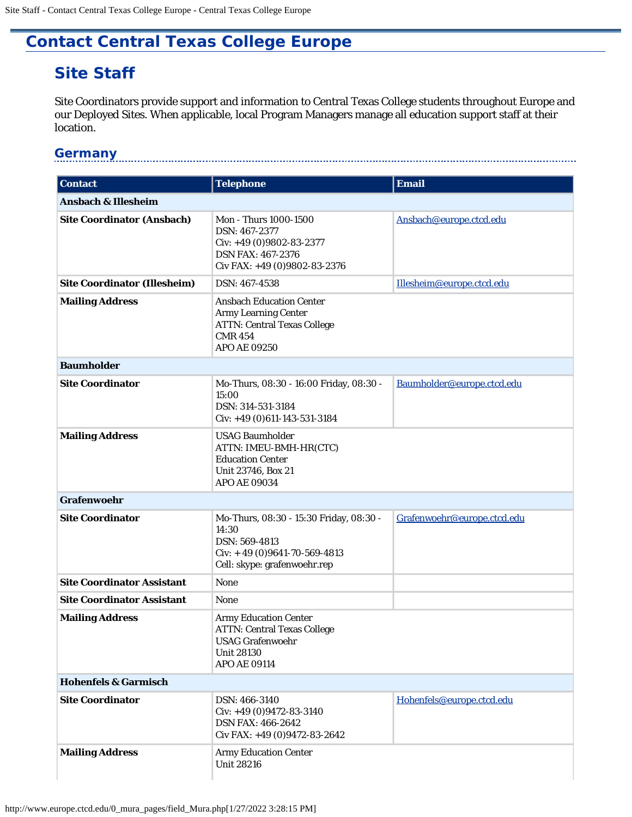## <span id="page-0-0"></span>**Contact Central Texas College Europe**

# **Site Staff**

Site Coordinators provide support and information to Central Texas College students throughout Europe and our Deployed Sites. When applicable, local Program Managers manage all education support staff at their location.

#### **Germany**

| <b>Contact</b>                      | <b>Telephone</b>                                                                                                                       | <b>Email</b>                |
|-------------------------------------|----------------------------------------------------------------------------------------------------------------------------------------|-----------------------------|
| <b>Ansbach &amp; Illesheim</b>      |                                                                                                                                        |                             |
| <b>Site Coordinator (Ansbach)</b>   | <b>Mon - Thurs 1000-1500</b><br>DSN: 467-2377<br>Civ: $+49(0)9802-83-2377$<br><b>DSN FAX: 467-2376</b><br>Civ FAX: +49 (0)9802-83-2376 | Ansbach@europe.ctcd.edu     |
| <b>Site Coordinator (Illesheim)</b> | DSN: 467-4538                                                                                                                          | Illesheim@europe.ctcd.edu   |
| <b>Mailing Address</b>              | <b>Ansbach Education Center</b><br><b>Army Learning Center</b><br><b>ATTN: Central Texas College</b><br><b>CMR 454</b><br>APO AE 09250 |                             |
| <b>Baumholder</b>                   |                                                                                                                                        |                             |
| <b>Site Coordinator</b>             | Mo-Thurs, 08:30 - 16:00 Friday, 08:30 -<br>15:00<br>DSN: 314-531-3184<br>$Civ: +49(0)611-143-531-3184$                                 | Baumholder@europe.ctcd.edu  |
| <b>Mailing Address</b>              | <b>USAG Baumholder</b><br>ATTN: IMEU-BMH-HR(CTC)<br><b>Education Center</b><br>Unit 23746, Box 21<br><b>APO AE 09034</b>               |                             |
| Grafenwoehr                         |                                                                                                                                        |                             |
| <b>Site Coordinator</b>             | Mo-Thurs, 08:30 - 15:30 Friday, 08:30 -<br>14:30<br>DSN: 569-4813<br>$Civ: +49(0)9641-70-569-4813$<br>Cell: skype: grafenwoehr.rep     | Grafenwoehr@europe.ctcd.edu |
| <b>Site Coordinator Assistant</b>   | None                                                                                                                                   |                             |
| <b>Site Coordinator Assistant</b>   | None                                                                                                                                   |                             |
| <b>Mailing Address</b>              | <b>Army Education Center</b><br><b>ATTN: Central Texas College</b><br><b>USAG Grafenwoehr</b><br><b>Unit 28130</b><br>APO AE 09114     |                             |
| <b>Hohenfels &amp; Garmisch</b>     |                                                                                                                                        |                             |
| <b>Site Coordinator</b>             | DSN: 466-3140<br>Civ: $+49(0)9472-83-3140$<br><b>DSN FAX: 466-2642</b><br>Civ FAX: +49 (0)9472-83-2642                                 | Hohenfels@europe.ctcd.edu   |
| <b>Mailing Address</b>              | <b>Army Education Center</b><br><b>Unit 28216</b>                                                                                      |                             |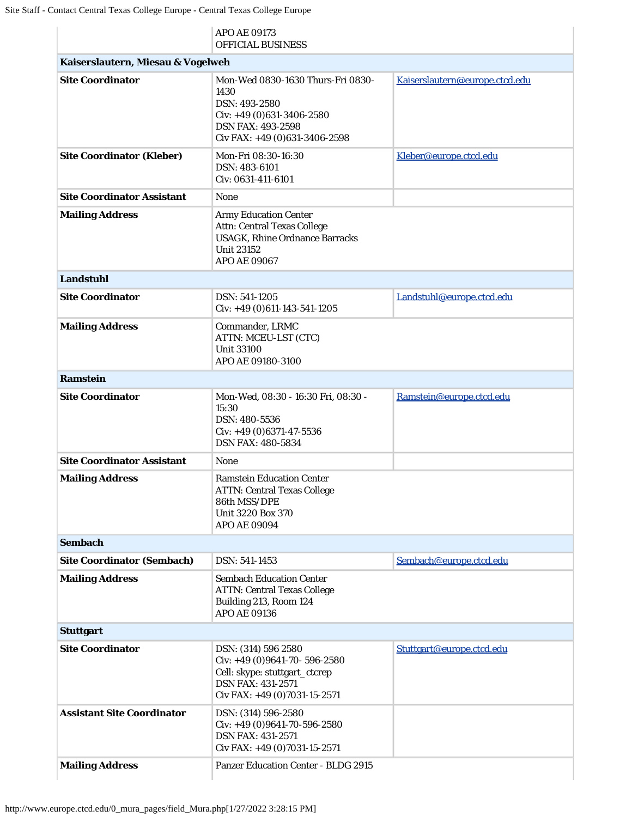|                                   | APO AE 09173<br>OFFICIAL BUSINESS                                                                                                                      |                                |
|-----------------------------------|--------------------------------------------------------------------------------------------------------------------------------------------------------|--------------------------------|
| Kaiserslautern, Miesau & Vogelweh |                                                                                                                                                        |                                |
| <b>Site Coordinator</b>           | Mon-Wed 0830-1630 Thurs-Fri 0830-<br>1430<br>DSN: 493-2580<br>Civ: $+49(0)631-3406-2580$<br><b>DSN FAX: 493-2598</b><br>Civ FAX: $+49(0)631-3406-2598$ | Kaiserslautern@europe.ctcd.edu |
| <b>Site Coordinator (Kleber)</b>  | Mon-Fri 08:30-16:30<br>DSN: 483-6101<br>Civ: 0631-411-6101                                                                                             | Kleber@europe.ctcd.edu         |
| <b>Site Coordinator Assistant</b> | <b>None</b>                                                                                                                                            |                                |
| <b>Mailing Address</b>            | <b>Army Education Center</b><br><b>Attn: Central Texas College</b><br><b>USAGK, Rhine Ordnance Barracks</b><br><b>Unit 23152</b><br>APO AE 09067       |                                |
| <b>Landstuhl</b>                  |                                                                                                                                                        |                                |
| <b>Site Coordinator</b>           | DSN: 541-1205<br>$Civ: +49(0)611-143-541-1205$                                                                                                         | Landstuhl@europe.ctcd.edu      |
| <b>Mailing Address</b>            | Commander, LRMC<br>ATTN: MCEU-LST (CTC)<br><b>Unit 33100</b><br>APO AE 09180-3100                                                                      |                                |
| <b>Ramstein</b>                   |                                                                                                                                                        |                                |
| <b>Site Coordinator</b>           | Mon-Wed, 08:30 - 16:30 Fri, 08:30 -<br>15:30<br>DSN: 480-5536<br>Civ: $+49$ (0)6371-47-5536<br><b>DSN FAX: 480-5834</b>                                | Ramstein@europe.ctcd.edu       |
| <b>Site Coordinator Assistant</b> | <b>None</b>                                                                                                                                            |                                |
| <b>Mailing Address</b>            | <b>Ramstein Education Center</b><br><b>ATTN: Central Texas College</b><br>86th MSS/DPE<br>Unit 3220 Box 370<br><b>APO AE 09094</b>                     |                                |
| <b>Sembach</b>                    |                                                                                                                                                        |                                |
| <b>Site Coordinator (Sembach)</b> | DSN: 541-1453                                                                                                                                          | Sembach@europe.ctcd.edu        |
| <b>Mailing Address</b>            | <b>Sembach Education Center</b><br><b>ATTN: Central Texas College</b><br>Building 213, Room 124<br>APO AE 09136                                        |                                |
| <b>Stuttgart</b>                  |                                                                                                                                                        |                                |
| <b>Site Coordinator</b>           | DSN: (314) 596 2580<br>Civ: $+49$ (0)9641-70- 596-2580<br>Cell: skype: stuttgart_ctcrep<br><b>DSN FAX: 431-2571</b><br>Civ FAX: $+49(0)7031-15-2571$   | Stuttgart@europe.ctcd.edu      |
| <b>Assistant Site Coordinator</b> | DSN: (314) 596-2580<br>Civ: $+49$ (0)9641-70-596-2580<br><b>DSN FAX: 431-2571</b><br>Civ FAX: $+49(0)7031-15-2571$                                     |                                |
| <b>Mailing Address</b>            | <b>Panzer Education Center - BLDG 2915</b>                                                                                                             |                                |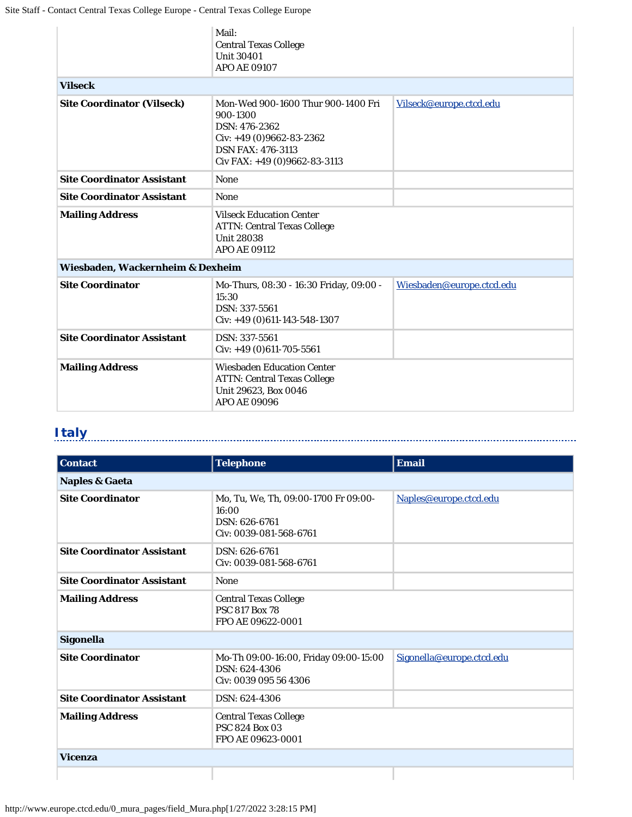|                                   | Mail:<br><b>Central Texas College</b><br><b>Unit 30401</b><br>APO AE 09107                                                                               |                           |
|-----------------------------------|----------------------------------------------------------------------------------------------------------------------------------------------------------|---------------------------|
| <b>Vilseck</b>                    |                                                                                                                                                          |                           |
| <b>Site Coordinator (Vilseck)</b> | Mon-Wed 900-1600 Thur 900-1400 Fri<br>900-1300<br>DSN: 476-2362<br>Civ: $+49(0)9662-83-2362$<br><b>DSN FAX: 476-3113</b><br>Civ FAX: +49 (0)9662-83-3113 | Vilseck@europe.ctcd.edu   |
| <b>Site Coordinator Assistant</b> | <b>None</b>                                                                                                                                              |                           |
| <b>Site Coordinator Assistant</b> | <b>None</b>                                                                                                                                              |                           |
| <b>Mailing Address</b>            | <b>Vilseck Education Center</b><br><b>ATTN: Central Texas College</b><br><b>Unit 28038</b><br><b>APO AE 09112</b>                                        |                           |
| Wiesbaden, Wackernheim & Dexheim  |                                                                                                                                                          |                           |
| <b>Site Coordinator</b>           | Mo-Thurs, 08:30 - 16:30 Friday, 09:00 -<br>15:30<br>DSN: 337-5561<br>$Civ: +49(0)611-143-548-1307$                                                       | Wiesbaden@europe.ctcd.edu |
| <b>Site Coordinator Assistant</b> | DSN: 337-5561<br>$Civ: +49(0)611-705-5561$                                                                                                               |                           |
| <b>Mailing Address</b>            | <b>Wiesbaden Education Center</b><br><b>ATTN: Central Texas College</b><br>Unit 29623, Box 0046<br>APO AE 09096                                          |                           |

### **Italy**

| <b>Contact</b>                    | <b>Telephone</b>                                                                         | <b>Email</b>              |
|-----------------------------------|------------------------------------------------------------------------------------------|---------------------------|
| <b>Naples &amp; Gaeta</b>         |                                                                                          |                           |
| <b>Site Coordinator</b>           | Mo, Tu, We, Th, 09:00-1700 Fr 09:00-<br>16:00<br>DSN: 626-6761<br>Civ: 0039-081-568-6761 | Naples@europe.ctcd.edu    |
| <b>Site Coordinator Assistant</b> | DSN: 626-6761<br>Civ: 0039-081-568-6761                                                  |                           |
| <b>Site Coordinator Assistant</b> | <b>None</b>                                                                              |                           |
| <b>Mailing Address</b>            | <b>Central Texas College</b><br><b>PSC 817 Box 78</b><br>FPO AE 09622-0001               |                           |
| Sigonella                         |                                                                                          |                           |
| <b>Site Coordinator</b>           | Mo-Th 09:00-16:00, Friday 09:00-15:00<br>DSN: 624-4306<br>Civ: 0039 095 56 4306          | Sigonella@europe.ctcd.edu |
| <b>Site Coordinator Assistant</b> | DSN: 624-4306                                                                            |                           |
| <b>Mailing Address</b>            | <b>Central Texas College</b><br><b>PSC 824 Box 03</b><br>FPO AE 09623-0001               |                           |
| <b>Vicenza</b>                    |                                                                                          |                           |
|                                   |                                                                                          |                           |